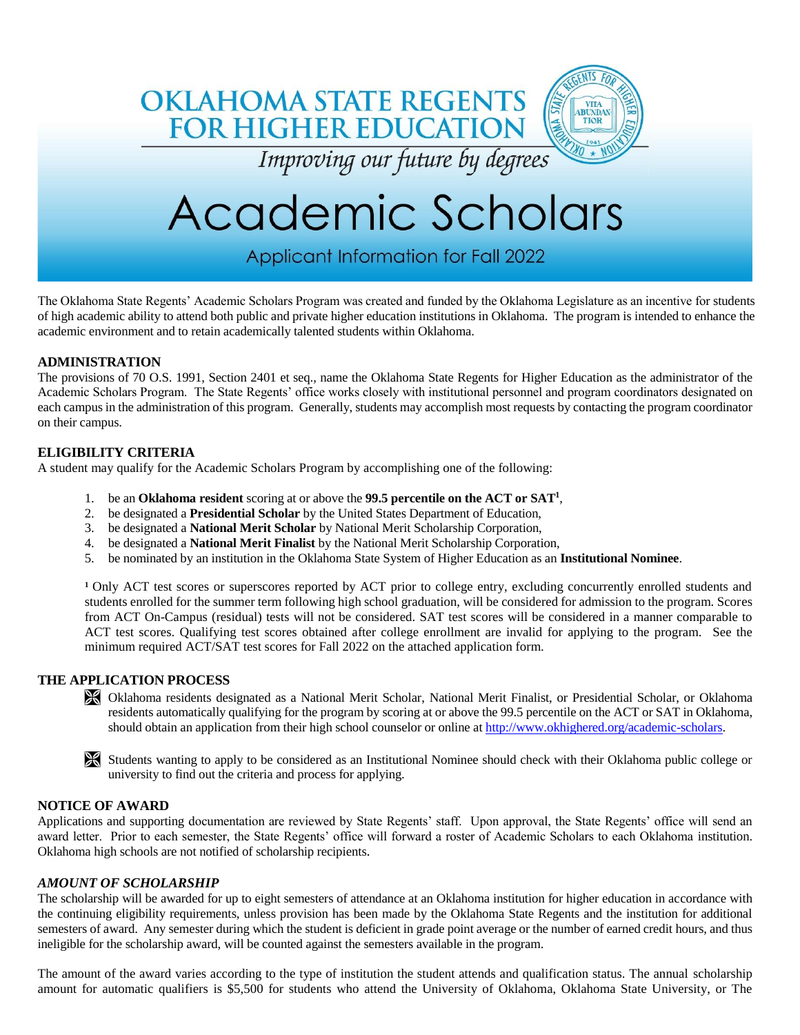

Applicant Information for Fall 2022

The Oklahoma State Regents' Academic Scholars Program was created and funded by the Oklahoma Legislature as an incentive for students of high academic ability to attend both public and private higher education institutions in Oklahoma. The program is intended to enhance the academic environment and to retain academically talented students within Oklahoma.

#### **ADMINISTRATION**

The provisions of 70 O.S. 1991, Section 2401 et seq., name the Oklahoma State Regents for Higher Education as the administrator of the Academic Scholars Program. The State Regents' office works closely with institutional personnel and program coordinators designated on each campus in the administration of this program. Generally, students may accomplish most requests by contacting the program coordinator on their campus.

### **ELIGIBILITY CRITERIA**

A student may qualify for the Academic Scholars Program by accomplishing one of the following:

- 1. be an **Oklahoma resident** scoring at or above the **99.5 percentile on the ACT or SAT<sup>1</sup>** ,
- 2. be designated a **Presidential Scholar** by the United States Department of Education,
- 3. be designated a **National Merit Scholar** by National Merit Scholarship Corporation,
- 4. be designated a **National Merit Finalist** by the National Merit Scholarship Corporation,
- 5. be nominated by an institution in the Oklahoma State System of Higher Education as an **Institutional Nominee**.

<sup>1</sup> Only ACT test scores or superscores reported by ACT prior to college entry, excluding concurrently enrolled students and students enrolled for the summer term following high school graduation, will be considered for admission to the program. Scores from ACT On-Campus (residual) tests will not be considered. SAT test scores will be considered in a manner comparable to ACT test scores. Qualifying test scores obtained after college enrollment are invalid for applying to the program. See the minimum required ACT/SAT test scores for Fall 2022 on the attached application form.

#### **THE APPLICATION PROCESS**

 Oklahoma residents designated as a National Merit Scholar, National Merit Finalist, or Presidential Scholar, or Oklahoma residents automatically qualifying for the program by scoring at or above the 99.5 percentile on the ACT or SAT in Oklahoma, should obtain an application from their high school counselor or online at [http://www.okhighered.org/academic-scholars.](http://www.okhighered.org/academic-scholars)



#### **NOTICE OF AWARD**

Applications and supporting documentation are reviewed by State Regents' staff. Upon approval, the State Regents' office will send an award letter. Prior to each semester, the State Regents' office will forward a roster of Academic Scholars to each Oklahoma institution. Oklahoma high schools are not notified of scholarship recipients.

#### *AMOUNT OF SCHOLARSHIP*

The scholarship will be awarded for up to eight semesters of attendance at an Oklahoma institution for higher education in accordance with the continuing eligibility requirements, unless provision has been made by the Oklahoma State Regents and the institution for additional semesters of award. Any semester during which the student is deficient in grade point average or the number of earned credit hours, and thus ineligible for the scholarship award, will be counted against the semesters available in the program.

The amount of the award varies according to the type of institution the student attends and qualification status. The annual scholarship amount for automatic qualifiers is \$5,500 for students who attend the University of Oklahoma, Oklahoma State University, or The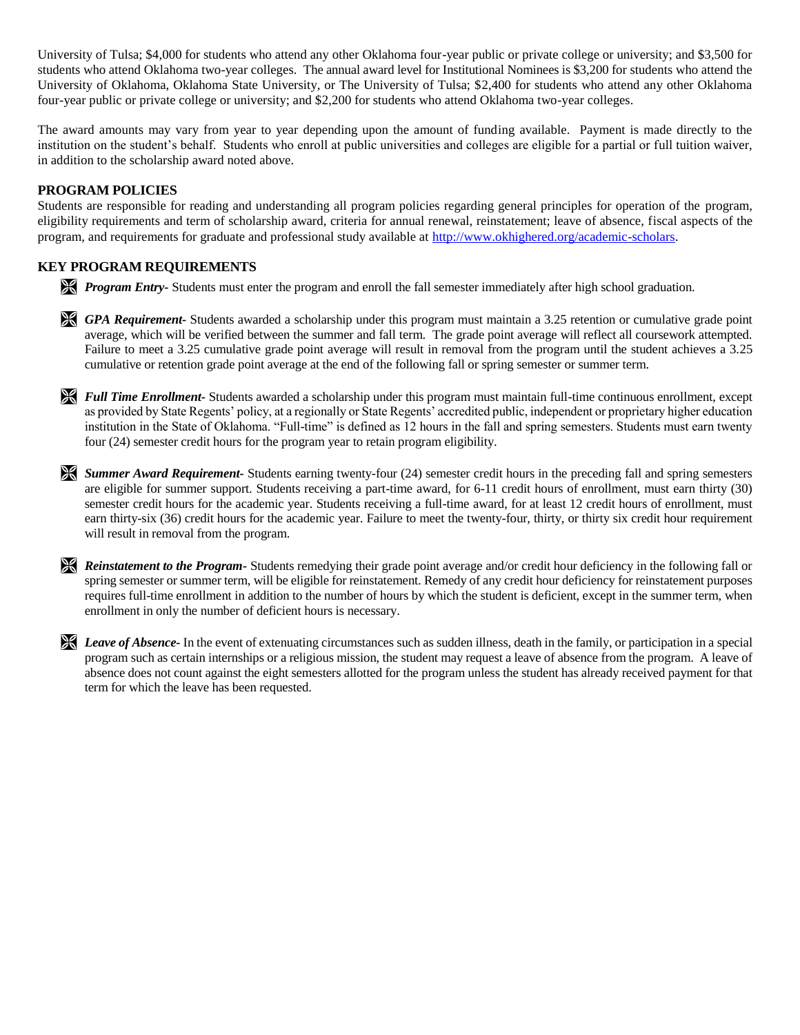University of Tulsa; \$4,000 for students who attend any other Oklahoma four-year public or private college or university; and \$3,500 for students who attend Oklahoma two-year colleges. The annual award level for Institutional Nominees is \$3,200 for students who attend the University of Oklahoma, Oklahoma State University, or The University of Tulsa; \$2,400 for students who attend any other Oklahoma four-year public or private college or university; and \$2,200 for students who attend Oklahoma two-year colleges.

The award amounts may vary from year to year depending upon the amount of funding available. Payment is made directly to the institution on the student's behalf. Students who enroll at public universities and colleges are eligible for a partial or full tuition waiver, in addition to the scholarship award noted above.

#### **PROGRAM POLICIES**

Students are responsible for reading and understanding all program policies regarding general principles for operation of the program, eligibility requirements and term of scholarship award, criteria for annual renewal, reinstatement; leave of absence, fiscal aspects of the program, and requirements for graduate and professional study available at<http://www.okhighered.org/academic-scholars>.

### **KEY PROGRAM REQUIREMENTS**

*Program Entry-* Students must enter the program and enroll the fall semester immediately after high school graduation.

 *GPA Requirement-* Students awarded a scholarship under this program must maintain a 3.25 retention or cumulative grade point average, which will be verified between the summer and fall term. The grade point average will reflect all coursework attempted. Failure to meet a 3.25 cumulative grade point average will result in removal from the program until the student achieves a 3.25 cumulative or retention grade point average at the end of the following fall or spring semester or summer term.

*Full Time Enrollment*- Students awarded a scholarship under this program must maintain full-time continuous enrollment, except as provided by State Regents' policy, at a regionally or State Regents' accredited public, independent or proprietary higher education institution in the State of Oklahoma. "Full-time" is defined as 12 hours in the fall and spring semesters. Students must earn twenty four (24) semester credit hours for the program year to retain program eligibility.

 *Summer Award Requirement-* Students earning twenty-four (24) semester credit hours in the preceding fall and spring semesters are eligible for summer support. Students receiving a part-time award, for 6-11 credit hours of enrollment, must earn thirty (30) semester credit hours for the academic year. Students receiving a full-time award, for at least 12 credit hours of enrollment, must earn thirty-six (36) credit hours for the academic year. Failure to meet the twenty-four, thirty, or thirty six credit hour requirement will result in removal from the program.

*Reinstatement to the Program-* Students remedying their grade point average and/or credit hour deficiency in the following fall or spring semester or summer term, will be eligible for reinstatement. Remedy of any credit hour deficiency for reinstatement purposes requires full-time enrollment in addition to the number of hours by which the student is deficient, except in the summer term, when enrollment in only the number of deficient hours is necessary.

**Leave of Absence-** In the event of extenuating circumstances such as sudden illness, death in the family, or participation in a special program such as certain internships or a religious mission, the student may request a leave of absence from the program. A leave of absence does not count against the eight semesters allotted for the program unless the student has already received payment for that term for which the leave has been requested.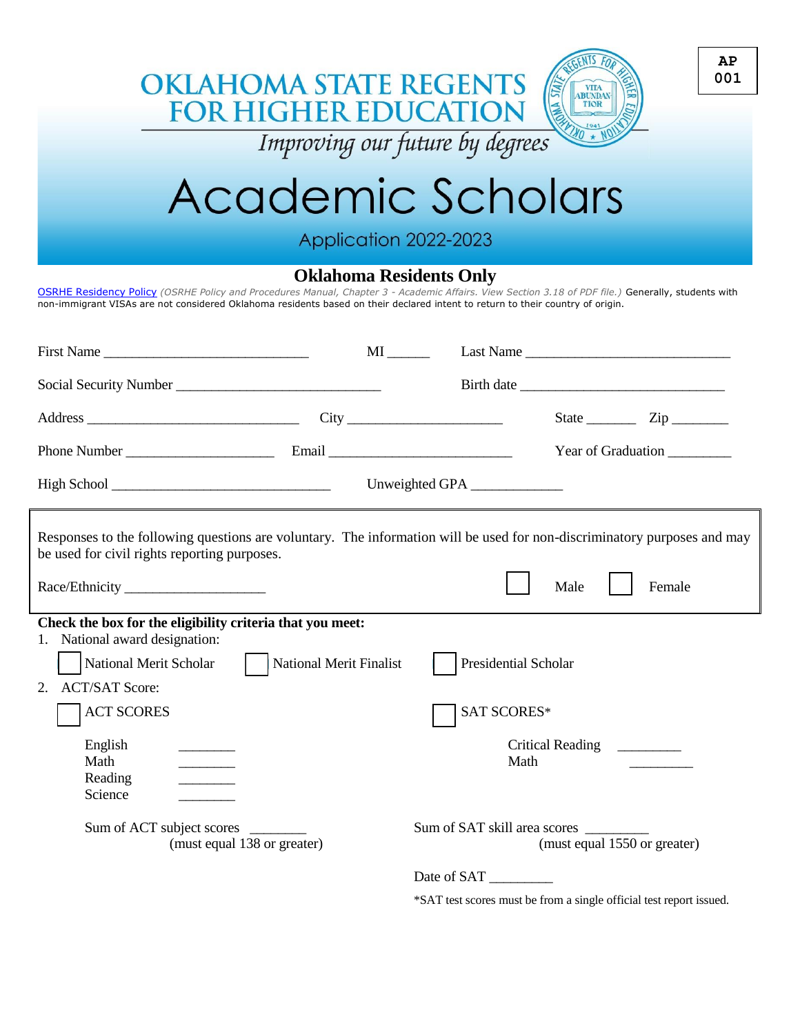|                                                                                                                                                                                                                                                                                                                        | <b>OKLAHOMA STATE REGENTS</b><br><b>FOR HIGHER EDUCATION</b><br>Improving our future by degrees |                                                    | <b>VITA</b><br><b>ABUNDAN</b><br>TIOR |                                                         | AP<br>001 |
|------------------------------------------------------------------------------------------------------------------------------------------------------------------------------------------------------------------------------------------------------------------------------------------------------------------------|-------------------------------------------------------------------------------------------------|----------------------------------------------------|---------------------------------------|---------------------------------------------------------|-----------|
| Academic Scholars                                                                                                                                                                                                                                                                                                      |                                                                                                 |                                                    |                                       |                                                         |           |
| Application 2022-2023                                                                                                                                                                                                                                                                                                  |                                                                                                 |                                                    |                                       |                                                         |           |
| <b>Oklahoma Residents Only</b><br>OSRHE Residency Policy (OSRHE Policy and Procedures Manual, Chapter 3 - Academic Affairs. View Section 3.18 of PDF file.) Generally, students with<br>non-immigrant VISAs are not considered Oklahoma residents based on their declared intent to return to their country of origin. |                                                                                                 |                                                    |                                       |                                                         |           |
| First Name                                                                                                                                                                                                                                                                                                             |                                                                                                 |                                                    |                                       |                                                         |           |
|                                                                                                                                                                                                                                                                                                                        |                                                                                                 |                                                    |                                       |                                                         |           |
|                                                                                                                                                                                                                                                                                                                        |                                                                                                 |                                                    |                                       | State $\frac{\qquad \qquad \text{Zip } \qquad \qquad }$ |           |
|                                                                                                                                                                                                                                                                                                                        |                                                                                                 | Year of Graduation                                 |                                       |                                                         |           |
|                                                                                                                                                                                                                                                                                                                        |                                                                                                 | Unweighted GPA                                     |                                       |                                                         |           |
| Responses to the following questions are voluntary. The information will be used for non-discriminatory purposes and may<br>be used for civil rights reporting purposes.                                                                                                                                               |                                                                                                 |                                                    |                                       |                                                         |           |
|                                                                                                                                                                                                                                                                                                                        |                                                                                                 |                                                    | Male                                  | Female                                                  |           |
| Check the box for the eligibility criteria that you meet:<br>National award designation:<br>National Merit Scholar<br><b>ACT/SAT Score:</b><br>2.<br><b>ACT SCORES</b><br>English<br>Math<br>Reading<br>Science                                                                                                        | <b>National Merit Finalist</b>                                                                  | Presidential Scholar<br><b>SAT SCORES*</b><br>Math | <b>Critical Reading</b>               |                                                         |           |

Sum of ACT subject scores \_\_\_\_\_\_\_\_ Sum of SAT skill area scores \_\_\_\_\_\_\_\_\_

 $\frac{1}{\sqrt{2}}$ 

(must equal  $1550$  or greater)

Date of SAT \_\_\_\_\_\_\_\_\_

\*SAT test scores must be from a single official test report issued.